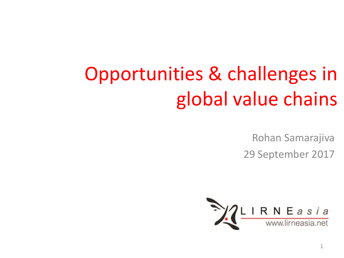# Opportunities & challenges in global value chains

Rohan Samarajiva

29 September 2017

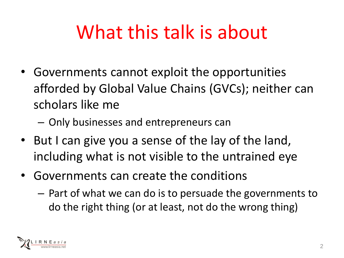## What this talk is about

- Governments cannot exploit the opportunities afforded by Global Value Chains (GVCs); neither can scholars like me
	- Only businesses and entrepreneurs can
- But I can give you a sense of the lay of the land, including what is not visible to the untrained eye
- Governments can create the conditions
	- Part of what we can do is to persuade the governments to do the right thing (or at least, not do the wrong thing)

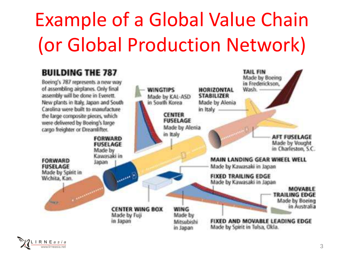# Example of a Global Value Chain (or Global Production Network)



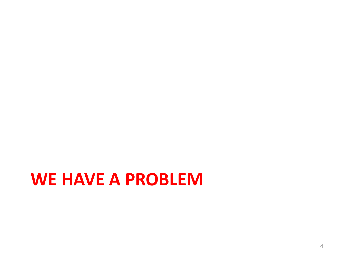#### **WE HAVE A PROBLEM**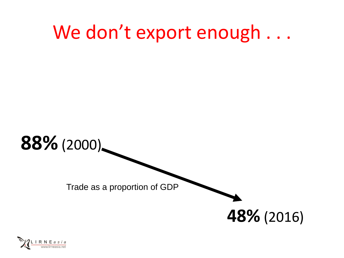### We don't export enough . . .



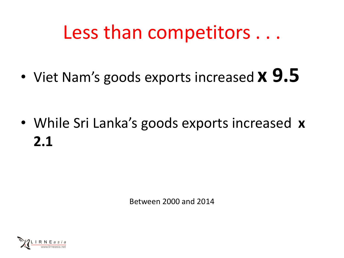### Less than competitors . . .

• Viet Nam's goods exports increased **x 9.5**

• While Sri Lanka's goods exports increased **x 2.1**

Between 2000 and 2014

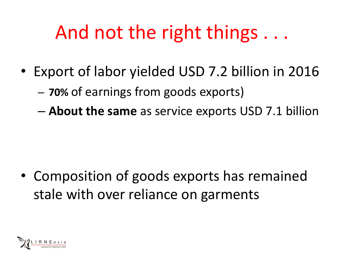### And not the right things . . .

- Export of labor yielded USD 7.2 billion in 2016
	- **70%** of earnings from goods exports)
	- **About the same** as service exports USD 7.1 billion

• Composition of goods exports has remained stale with over reliance on garments

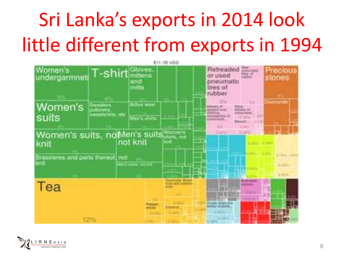# Sri Lanka's exports in 2014 look little different from exports in 1994



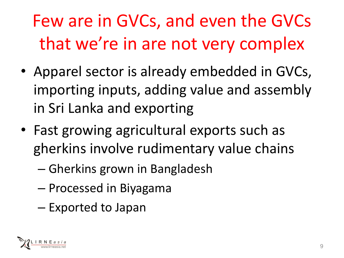Few are in GVCs, and even the GVCs that we're in are not very complex

- Apparel sector is already embedded in GVCs, importing inputs, adding value and assembly in Sri Lanka and exporting
- Fast growing agricultural exports such as gherkins involve rudimentary value chains
	- Gherkins grown in Bangladesh
	- Processed in Biyagama
	- Exported to Japan

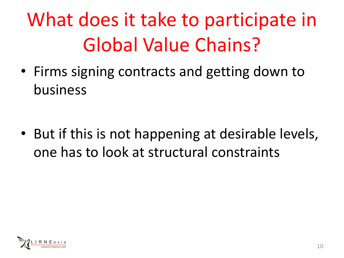# What does it take to participate in Global Value Chains?

• Firms signing contracts and getting down to business

• But if this is not happening at desirable levels, one has to look at structural constraints

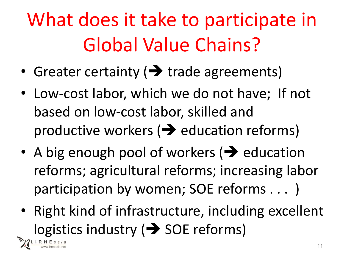What does it take to participate in Global Value Chains?

- Greater certainty  $\rightarrow$  trade agreements)
- Low-cost labor, which we do not have; If not based on low-cost labor, skilled and productive workers  $\rightarrow$  education reforms)
- A big enough pool of workers  $\rightarrow$  education reforms; agricultural reforms; increasing labor participation by women; SOE reforms . . . )
- Right kind of infrastructure, including excellent logistics industry ( $\rightarrow$  SOE reforms)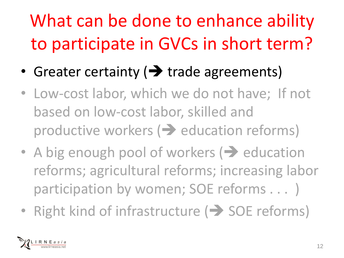## What can be done to enhance ability to participate in GVCs in short term?

- Greater certainty ( trade agreements)
- Low-cost labor, which we do not have; If not based on low-cost labor, skilled and productive workers  $\implies$  education reforms)
- A big enough pool of workers  $\rightarrow$  education reforms; agricultural reforms; increasing labor participation by women; SOE reforms . . . )
- Right kind of infrastructure  $($  > SOE reforms)

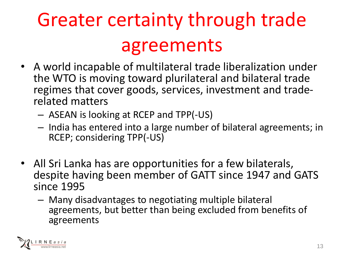# Greater certainty through trade agreements

- A world incapable of multilateral trade liberalization under the WTO is moving toward plurilateral and bilateral trade regimes that cover goods, services, investment and traderelated matters
	- ASEAN is looking at RCEP and TPP(-US)
	- India has entered into a large number of bilateral agreements; in RCEP; considering TPP(-US)
- All Sri Lanka has are opportunities for a few bilaterals, despite having been member of GATT since 1947 and GATS since 1995
	- Many disadvantages to negotiating multiple bilateral agreements, but better than being excluded from benefits of agreements

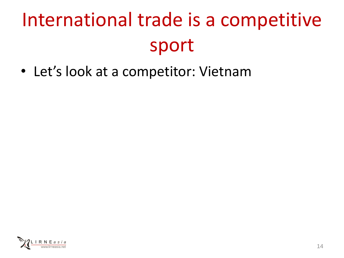# International trade is a competitive sport

• Let's look at a competitor: Vietnam

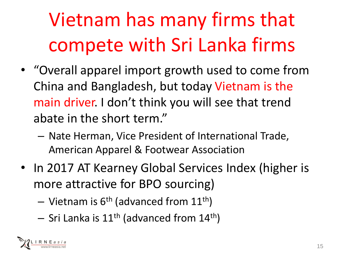# Vietnam has many firms that compete with Sri Lanka firms

- "Overall apparel import growth used to come from China and Bangladesh, but today Vietnam is the main driver. I don't think you will see that trend abate in the short term."
	- Nate Herman, Vice President of International Trade, American Apparel & Footwear Association
- In 2017 AT Kearney Global Services Index (higher is more attractive for BPO sourcing)
	- Vietnam is  $6<sup>th</sup>$  (advanced from  $11<sup>th</sup>$ )
	- $-$  Sri Lanka is 11<sup>th</sup> (advanced from 14<sup>th</sup>)

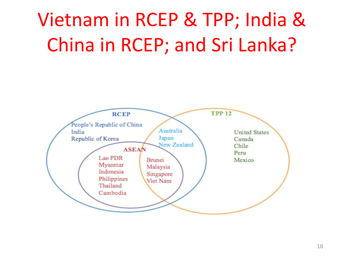## Vietnam in RCEP & TPP; India & China in RCEP; and Sri Lanka?

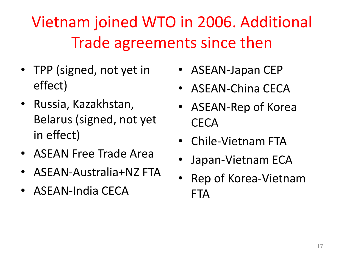#### Vietnam joined WTO in 2006. Additional Trade agreements since then

- TPP (signed, not yet in effect)
- Russia, Kazakhstan, Belarus (signed, not yet in effect)
- ASEAN Free Trade Area
- ASEAN-Australia+NZ FTA
- ASEAN-India CECA
- ASEAN-Japan CEP
- ASEAN-China CECA
- ASEAN-Rep of Korea **CECA**
- Chile-Vietnam FTA
- Japan-Vietnam ECA
- Rep of Korea-Vietnam **FTA**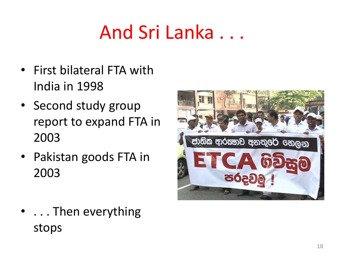## And Sri Lanka . . .

- First bilateral FTA with India in 1998
- Second study group report to expand FTA in 2003
- Pakistan goods FTA in 2003



• ... Then everything stops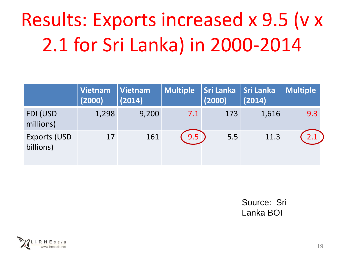# Results: Exports increased x 9.5 (v x 2.1 for Sri Lanka) in 2000-2014

|                                   | Vietnam<br>(2000) | Vietnam<br>(2014) | <b>Multiple</b> | <b>Sri Lanka</b><br>(2000) | Sri Lanka<br>(2014) | <b>Multiple</b> |
|-----------------------------------|-------------------|-------------------|-----------------|----------------------------|---------------------|-----------------|
| FDI (USD<br>millions)             | 1,298             | 9,200             | 7.1             | 173                        | 1,616               | 9.3             |
| <b>Exports (USD)</b><br>billions) | 17                | 161               | 9.5             | 5.5                        | 11.3                | 2.1             |

Source: Sri Lanka BOI

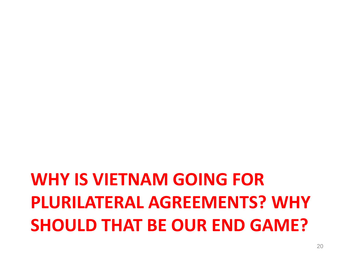### **WHY IS VIETNAM GOING FOR PLURILATERAL AGREEMENTS? WHY SHOULD THAT BE OUR END GAME?**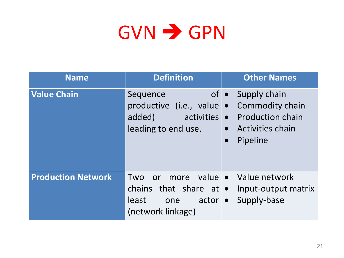## $GVN \rightarrow GPN$

| <b>Name</b>               | <b>Definition</b>                                                                                           | <b>Other Names</b>                                                                                                    |  |
|---------------------------|-------------------------------------------------------------------------------------------------------------|-----------------------------------------------------------------------------------------------------------------------|--|
| <b>Value Chain</b>        | Sequence<br>productive (i.e., value • Commodity chain<br>added)<br>activities •<br>leading to end use.      | of $\bullet$ Supply chain<br><b>Production chain</b><br><b>Activities chain</b><br>$\bullet$<br>Pipeline<br>$\bullet$ |  |
| <b>Production Network</b> | more<br>or<br>Two<br>chains that share at $\bullet$<br>least<br>$actor \bullet$<br>one<br>(network linkage) | value • Value network<br>Input-output matrix<br>Supply-base                                                           |  |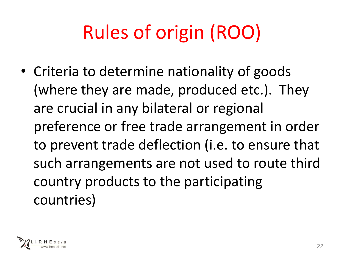# Rules of origin (ROO)

• Criteria to determine nationality of goods (where they are made, produced etc.). They are crucial in any bilateral or regional preference or free trade arrangement in order to prevent trade deflection (i.e. to ensure that such arrangements are not used to route third country products to the participating countries)

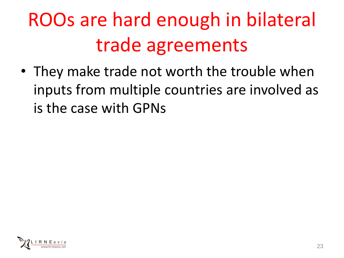# ROOs are hard enough in bilateral trade agreements

• They make trade not worth the trouble when inputs from multiple countries are involved as is the case with GPNs

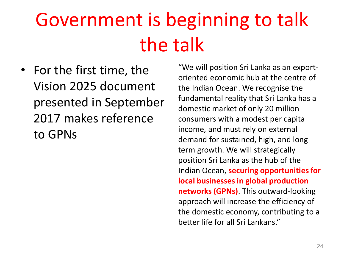## Government is beginning to talk the talk

• For the first time, the Vision 2025 document presented in September 2017 makes reference to GPNs

"We will position Sri Lanka as an exportoriented economic hub at the centre of the Indian Ocean. We recognise the fundamental reality that Sri Lanka has a domestic market of only 20 million consumers with a modest per capita income, and must rely on external demand for sustained, high, and longterm growth. We will strategically position Sri Lanka as the hub of the Indian Ocean, **securing opportunities for local businesses in global production networks (GPNs)**. This outward-looking approach will increase the efficiency of the domestic economy, contributing to a better life for all Sri Lankans."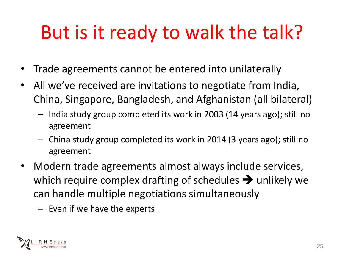## But is it ready to walk the talk?

- Trade agreements cannot be entered into unilaterally
- All we've received are invitations to negotiate from India, China, Singapore, Bangladesh, and Afghanistan (all bilateral)
	- India study group completed its work in 2003 (14 years ago); still no agreement
	- China study group completed its work in 2014 (3 years ago); still no agreement
- Modern trade agreements almost always include services, which require complex drafting of schedules  $\rightarrow$  unlikely we can handle multiple negotiations simultaneously
	- Even if we have the experts